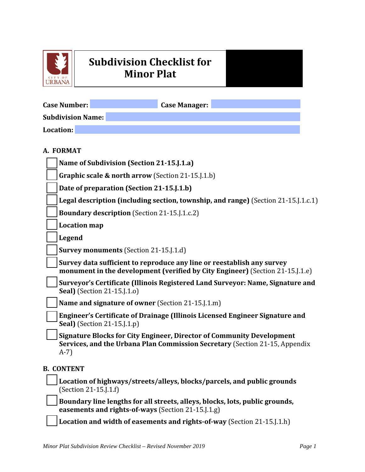

## **Subdivision Checklist for Minor Plat**

| <b>Case Number:</b>      |                                                                        | <b>Case Manager:</b> |                                                                                                                                                             |
|--------------------------|------------------------------------------------------------------------|----------------------|-------------------------------------------------------------------------------------------------------------------------------------------------------------|
| <b>Subdivision Name:</b> |                                                                        |                      |                                                                                                                                                             |
| Location:                |                                                                        |                      |                                                                                                                                                             |
| A. FORMAT                |                                                                        |                      |                                                                                                                                                             |
|                          | Name of Subdivision (Section 21-15.J.1.a)                              |                      |                                                                                                                                                             |
|                          | Graphic scale & north arrow (Section 21-15.J.1.b)                      |                      |                                                                                                                                                             |
|                          | Date of preparation (Section 21-15.J.1.b)                              |                      |                                                                                                                                                             |
|                          |                                                                        |                      | Legal description (including section, township, and range) (Section 21-15. J. 1.c. 1)                                                                       |
|                          | <b>Boundary description</b> (Section 21-15.J.1.c.2)                    |                      |                                                                                                                                                             |
| <b>Location map</b>      |                                                                        |                      |                                                                                                                                                             |
| <b>Legend</b>            |                                                                        |                      |                                                                                                                                                             |
|                          | <b>Survey monuments</b> (Section 21-15.1.1.d)                          |                      |                                                                                                                                                             |
|                          | Survey data sufficient to reproduce any line or reestablish any survey |                      | monument in the development (verified by City Engineer) (Section 21-15. [1.e]                                                                               |
|                          | <b>Seal</b> ) (Section 21-15.J.1.o)                                    |                      | Surveyor's Certificate (Illinois Registered Land Surveyor: Name, Signature and                                                                              |
|                          | Name and signature of owner (Section 21-15.J.1.m)                      |                      |                                                                                                                                                             |
|                          | <b>Seal</b> ) (Section 21-15.J.1.p)                                    |                      | Engineer's Certificate of Drainage (Illinois Licensed Engineer Signature and                                                                                |
| $A-7$                    |                                                                        |                      | <b>Signature Blocks for City Engineer, Director of Community Development</b><br>Services, and the Urbana Plan Commission Secretary (Section 21-15, Appendix |
| <b>B. CONTENT</b>        |                                                                        |                      |                                                                                                                                                             |
|                          | (Section 21-15.J.1.f)                                                  |                      | Location of highways/streets/alleys, blocks/parcels, and public grounds                                                                                     |
|                          | easements and rights-of-ways (Section 21-15.J.1.g)                     |                      | Boundary line lengths for all streets, alleys, blocks, lots, public grounds,                                                                                |
|                          |                                                                        |                      |                                                                                                                                                             |

**Location and width of easements and rights-of-way** (Section 21-15.J.1.h)